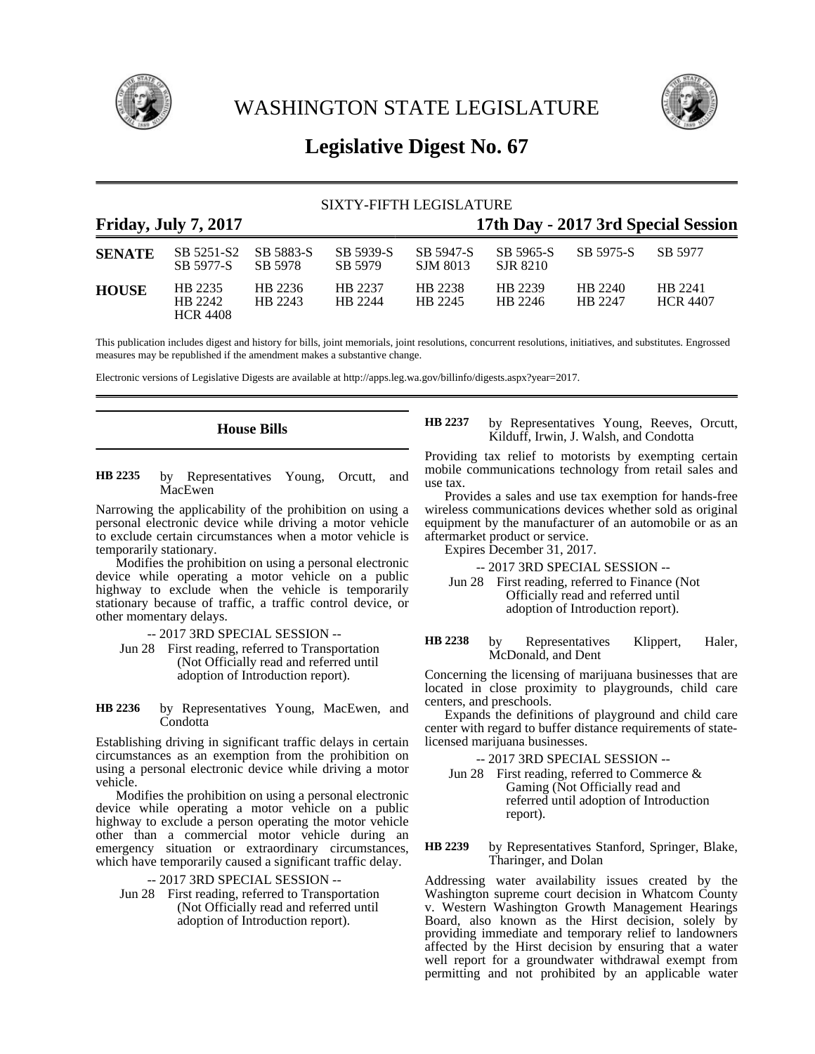

WASHINGTON STATE LEGISLATURE



# **Legislative Digest No. 67**

## SIXTY-FIFTH LEGISLATURE **Friday, July 7, 2017 17th Day - 2017 3rd Special Session SENATE** SB 5251-S2 SB 5883-S SB 5939-S SB 5947-S SB 5965-S SB 5975-S SB 5977 SB 5977-S SB 5978 SB 5979 SJM 8013 SJR 8210 **HOUSE** HB 2235 HB 2236 HB 2237 HB 2238 HB 2239 HB 2240 HB 2241 HB 2242 HB 2243 HB 2244 HB 2245 HB 2246 HB 2247 HCR 4407 HCR 4408

This publication includes digest and history for bills, joint memorials, joint resolutions, concurrent resolutions, initiatives, and substitutes. Engrossed measures may be republished if the amendment makes a substantive change.

Electronic versions of Legislative Digests are available at http://apps.leg.wa.gov/billinfo/digests.aspx?year=2017.

### **House Bills**

by Representatives Young, Orcutt, and MacEwen **HB 2235**

Narrowing the applicability of the prohibition on using a personal electronic device while driving a motor vehicle to exclude certain circumstances when a motor vehicle is temporarily stationary.

Modifies the prohibition on using a personal electronic device while operating a motor vehicle on a public highway to exclude when the vehicle is temporarily stationary because of traffic, a traffic control device, or other momentary delays.

-- 2017 3RD SPECIAL SESSION --

Jun 28 First reading, referred to Transportation (Not Officially read and referred until adoption of Introduction report).

by Representatives Young, MacEwen, and Condotta **HB 2236**

Establishing driving in significant traffic delays in certain circumstances as an exemption from the prohibition on using a personal electronic device while driving a motor vehicle.

Modifies the prohibition on using a personal electronic device while operating a motor vehicle on a public highway to exclude a person operating the motor vehicle other than a commercial motor vehicle during an emergency situation or extraordinary circumstances, which have temporarily caused a significant traffic delay.

-- 2017 3RD SPECIAL SESSION --

Jun 28 First reading, referred to Transportation (Not Officially read and referred until adoption of Introduction report).

by Representatives Young, Reeves, Orcutt, Kilduff, Irwin, J. Walsh, and Condotta **HB 2237**

Providing tax relief to motorists by exempting certain mobile communications technology from retail sales and use tax.

Provides a sales and use tax exemption for hands-free wireless communications devices whether sold as original equipment by the manufacturer of an automobile or as an aftermarket product or service.

Expires December 31, 2017.

-- 2017 3RD SPECIAL SESSION --

Jun 28 First reading, referred to Finance (Not Officially read and referred until adoption of Introduction report).

by Representatives Klippert, Haler, McDonald, and Dent **HB 2238**

Concerning the licensing of marijuana businesses that are located in close proximity to playgrounds, child care centers, and preschools.

Expands the definitions of playground and child care center with regard to buffer distance requirements of statelicensed marijuana businesses.

-- 2017 3RD SPECIAL SESSION --

Jun 28 First reading, referred to Commerce  $\&$ Gaming (Not Officially read and referred until adoption of Introduction report).

by Representatives Stanford, Springer, Blake, Tharinger, and Dolan **HB 2239**

Addressing water availability issues created by the Washington supreme court decision in Whatcom County v. Western Washington Growth Management Hearings Board, also known as the Hirst decision, solely by providing immediate and temporary relief to landowners affected by the Hirst decision by ensuring that a water well report for a groundwater withdrawal exempt from permitting and not prohibited by an applicable water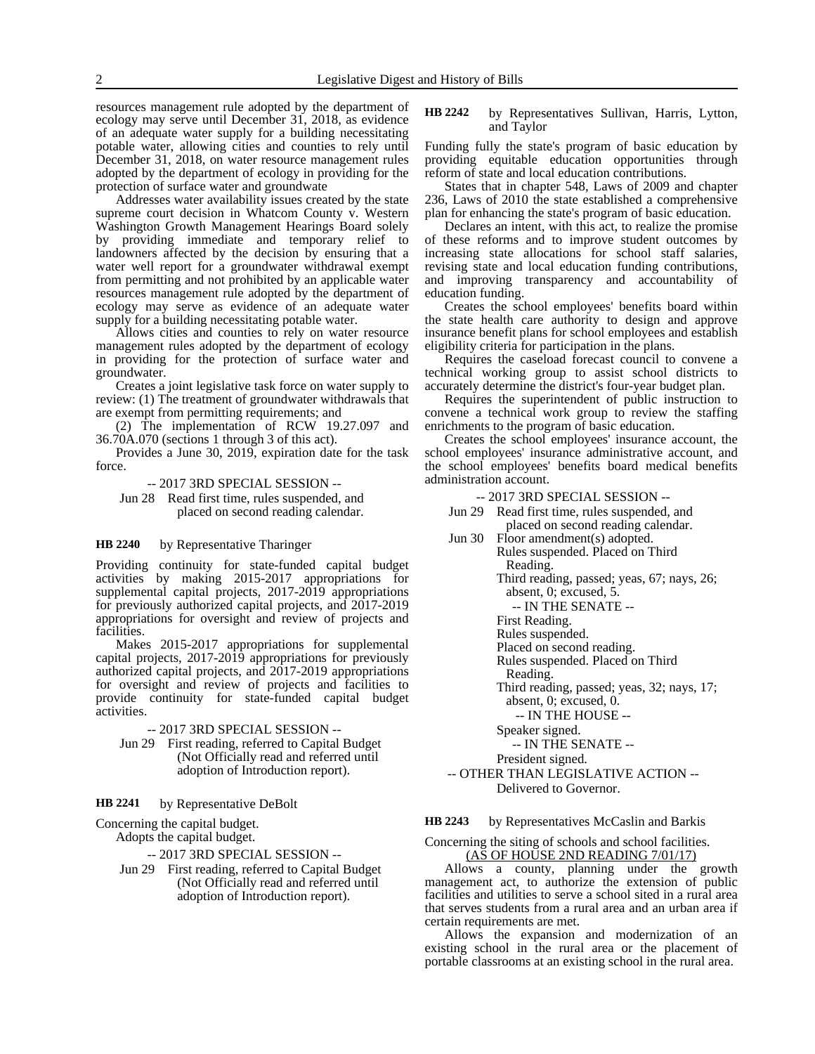resources management rule adopted by the department of ecology may serve until December 31, 2018, as evidence of an adequate water supply for a building necessitating potable water, allowing cities and counties to rely until December 31, 2018, on water resource management rules adopted by the department of ecology in providing for the protection of surface water and groundwate

Addresses water availability issues created by the state supreme court decision in Whatcom County v. Western Washington Growth Management Hearings Board solely by providing immediate and temporary relief to landowners affected by the decision by ensuring that a water well report for a groundwater withdrawal exempt from permitting and not prohibited by an applicable water resources management rule adopted by the department of ecology may serve as evidence of an adequate water supply for a building necessitating potable water.

Allows cities and counties to rely on water resource management rules adopted by the department of ecology in providing for the protection of surface water and groundwater.

Creates a joint legislative task force on water supply to review: (1) The treatment of groundwater withdrawals that are exempt from permitting requirements; and

(2) The implementation of  $RCW$  19.27.097 and 36.70A.070 (sections 1 through 3 of this act).

Provides a June 30, 2019, expiration date for the task force.

-- 2017 3RD SPECIAL SESSION --

Jun 28 Read first time, rules suspended, and placed on second reading calendar.

#### by Representative Tharinger **HB 2240**

Providing continuity for state-funded capital budget activities by making 2015-2017 appropriations for supplemental capital projects, 2017-2019 appropriations for previously authorized capital projects, and 2017-2019 appropriations for oversight and review of projects and facilities.

Makes 2015-2017 appropriations for supplemental capital projects, 2017-2019 appropriations for previously authorized capital projects, and 2017-2019 appropriations for oversight and review of projects and facilities to provide continuity for state-funded capital budget activities.

### -- 2017 3RD SPECIAL SESSION --

Jun 29 First reading, referred to Capital Budget (Not Officially read and referred until adoption of Introduction report).

#### by Representative DeBolt **HB 2241**

Concerning the capital budget.

Adopts the capital budget.

-- 2017 3RD SPECIAL SESSION --

Jun 29 First reading, referred to Capital Budget (Not Officially read and referred until adoption of Introduction report).

#### by Representatives Sullivan, Harris, Lytton, and Taylor **HB 2242**

Funding fully the state's program of basic education by providing equitable education opportunities through reform of state and local education contributions.

States that in chapter 548, Laws of 2009 and chapter 236, Laws of 2010 the state established a comprehensive plan for enhancing the state's program of basic education.

Declares an intent, with this act, to realize the promise of these reforms and to improve student outcomes by increasing state allocations for school staff salaries, revising state and local education funding contributions, and improving transparency and accountability of education funding.

Creates the school employees' benefits board within the state health care authority to design and approve insurance benefit plans for school employees and establish eligibility criteria for participation in the plans.

Requires the caseload forecast council to convene a technical working group to assist school districts to accurately determine the district's four-year budget plan.

Requires the superintendent of public instruction to convene a technical work group to review the staffing enrichments to the program of basic education.

Creates the school employees' insurance account, the school employees' insurance administrative account, and the school employees' benefits board medical benefits administration account.

- -- 2017 3RD SPECIAL SESSION --
- Jun 29 Read first time, rules suspended, and placed on second reading calendar.

Jun 30 Floor amendment(s) adopted. Rules suspended. Placed on Third Reading.

> Third reading, passed; yeas, 67; nays, 26; absent, 0; excused, 5.

-- IN THE SENATE --

First Reading.

Rules suspended.

Placed on second reading. Rules suspended. Placed on Third

Reading.

Third reading, passed; yeas, 32; nays, 17; absent, 0; excused, 0.

-- IN THE HOUSE --

Speaker signed.

-- IN THE SENATE --

President signed.

-- OTHER THAN LEGISLATIVE ACTION -- Delivered to Governor.

by Representatives McCaslin and Barkis **HB 2243**

Concerning the siting of schools and school facilities. (AS OF HOUSE 2ND READING 7/01/17)

Allows a county, planning under the growth management act, to authorize the extension of public facilities and utilities to serve a school sited in a rural area that serves students from a rural area and an urban area if certain requirements are met.

Allows the expansion and modernization of an existing school in the rural area or the placement of portable classrooms at an existing school in the rural area.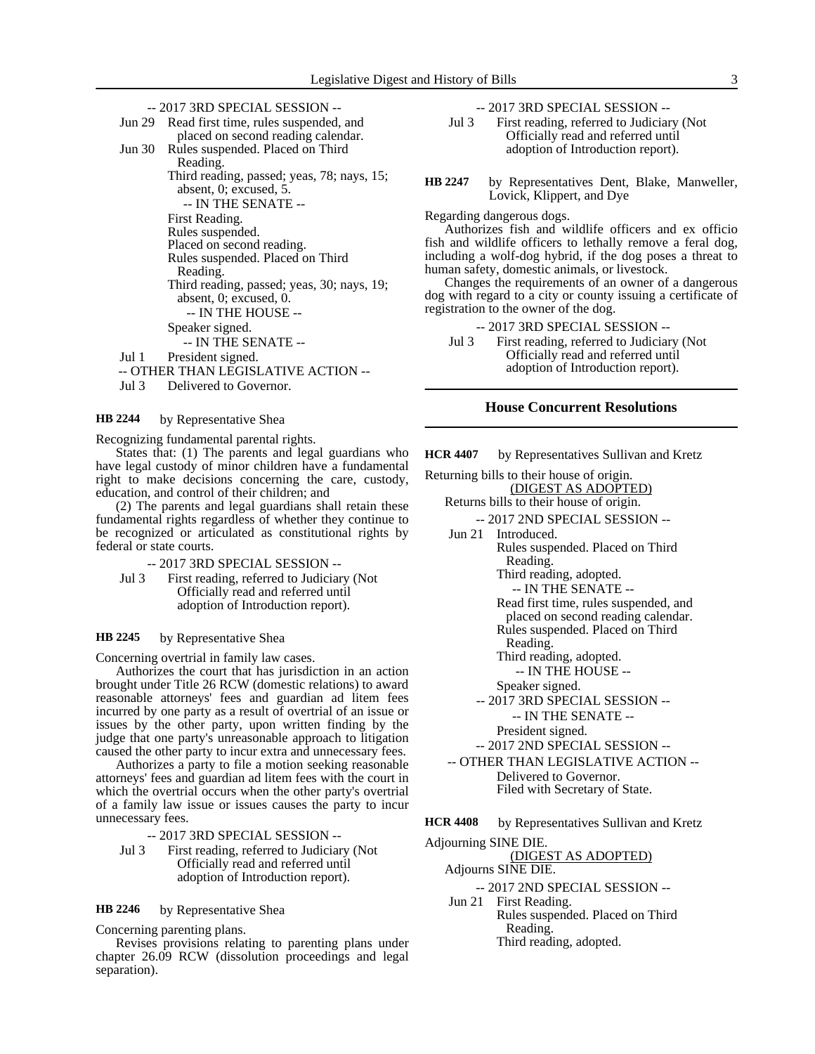| -- 2017 3RD SPECIAL SESSION -- |                                            |  |
|--------------------------------|--------------------------------------------|--|
| Jun 29                         | Read first time, rules suspended, and      |  |
|                                | placed on second reading calendar.         |  |
|                                | Jun 30 Rules suspended. Placed on Third    |  |
|                                | Reading.                                   |  |
|                                | Third reading, passed; yeas, 78; nays, 15; |  |
|                                | absent, 0; excused, 5.                     |  |
|                                | -- IN THE SENATE --                        |  |
|                                | First Reading.                             |  |
|                                | Rules suspended.                           |  |
|                                | Placed on second reading.                  |  |
|                                | Rules suspended. Placed on Third           |  |
|                                | Reading.                                   |  |
|                                | Third reading, passed; yeas, 30; nays, 19; |  |
|                                | absent, $0$ ; excused, $0$ .               |  |
|                                | -- IN THE HOUSE --                         |  |
|                                | Speaker signed.                            |  |
|                                | -- IN THE SENATE --                        |  |
| Jul 1                          | President signed.                          |  |
| HER THAN LEGISLATIVE ACTION -- |                                            |  |
|                                |                                            |  |

Jul 3 Delivered to Governor.

by Representative Shea **HB 2244**

Recognizing fundamental parental rights.

States that: (1) The parents and legal guardians who have legal custody of minor children have a fundamental right to make decisions concerning the care, custody, education, and control of their children; and

(2) The parents and legal guardians shall retain these fundamental rights regardless of whether they continue to be recognized or articulated as constitutional rights by federal or state courts.

- -- 2017 3RD SPECIAL SESSION --
- Jul 3 First reading, referred to Judiciary (Not Officially read and referred until adoption of Introduction report).

#### by Representative Shea **HB 2245**

Concerning overtrial in family law cases.

Authorizes the court that has jurisdiction in an action brought under Title 26 RCW (domestic relations) to award reasonable attorneys' fees and guardian ad litem fees incurred by one party as a result of overtrial of an issue or issues by the other party, upon written finding by the judge that one party's unreasonable approach to litigation caused the other party to incur extra and unnecessary fees.

Authorizes a party to file a motion seeking reasonable attorneys' fees and guardian ad litem fees with the court in which the overtrial occurs when the other party's overtrial of a family law issue or issues causes the party to incur unnecessary fees.

-- 2017 3RD SPECIAL SESSION --

Jul 3 First reading, referred to Judiciary (Not Officially read and referred until adoption of Introduction report).

#### by Representative Shea **HB 2246**

Concerning parenting plans.

Revises provisions relating to parenting plans under chapter 26.09 RCW (dissolution proceedings and legal separation).

-- 2017 3RD SPECIAL SESSION --

- Jul 3 First reading, referred to Judiciary (Not Officially read and referred until adoption of Introduction report).
- by Representatives Dent, Blake, Manweller, Lovick, Klippert, and Dye **HB 2247**

Regarding dangerous dogs.

Authorizes fish and wildlife officers and ex officio fish and wildlife officers to lethally remove a feral dog, including a wolf-dog hybrid, if the dog poses a threat to human safety, domestic animals, or livestock.

Changes the requirements of an owner of a dangerous dog with regard to a city or county issuing a certificate of registration to the owner of the dog.

-- 2017 3RD SPECIAL SESSION --

Jul 3 First reading, referred to Judiciary (Not Officially read and referred until adoption of Introduction report).

### **House Concurrent Resolutions**

by Representatives Sullivan and Kretz **HCR 4407**

Returning bills to their house of origin.

- (DIGEST AS ADOPTED) Returns bills to their house of origin.
- -- 2017 2ND SPECIAL SESSION -- Jun 21 Introduced.
	- Rules suspended. Placed on Third Reading.
		- Third reading, adopted.

-- IN THE SENATE --

Read first time, rules suspended, and placed on second reading calendar. Rules suspended. Placed on Third

Reading.

- Third reading, adopted.
	- -- IN THE HOUSE --
- Speaker signed.

-- 2017 3RD SPECIAL SESSION --

-- IN THE SENATE --

President signed.

-- 2017 2ND SPECIAL SESSION --

-- OTHER THAN LEGISLATIVE ACTION -- Delivered to Governor. Filed with Secretary of State.

by Representatives Sullivan and Kretz **HCR 4408**

Adjourning SINE DIE.

(DIGEST AS ADOPTED)

Adjourns SINE DIE. -- 2017 2ND SPECIAL SESSION --

Jun 21 First Reading. Rules suspended. Placed on Third Reading. Third reading, adopted.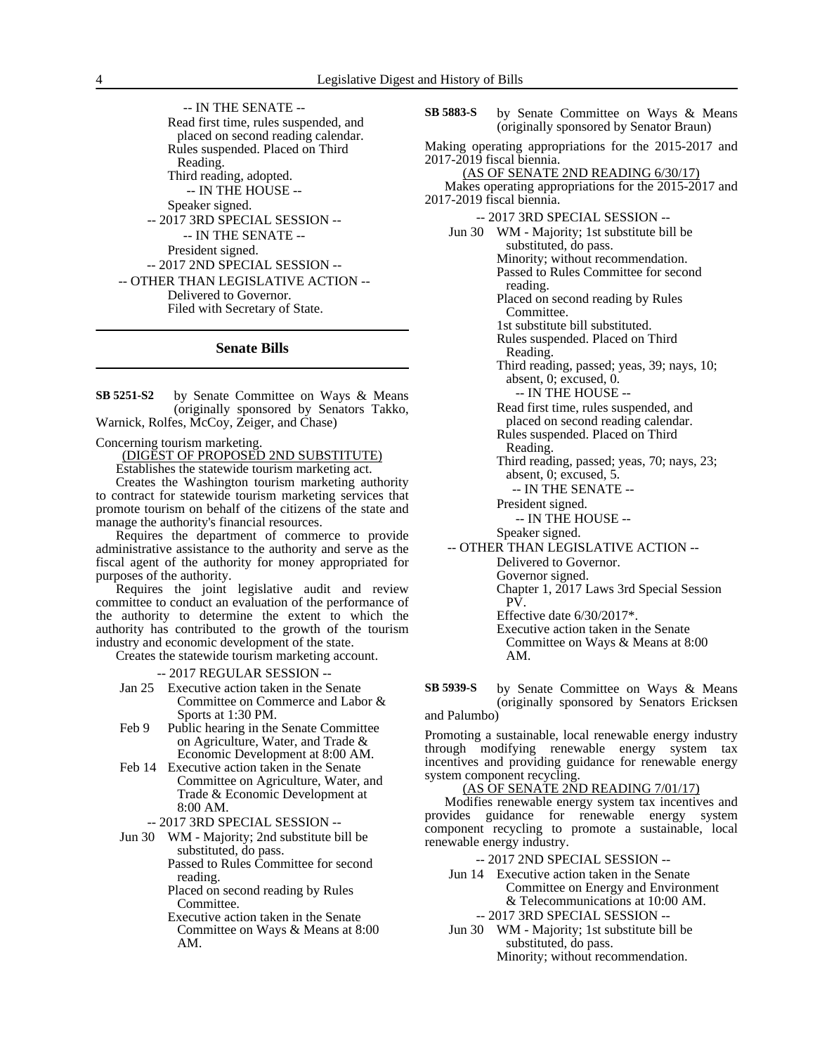-- IN THE SENATE -- Read first time, rules suspended, and placed on second reading calendar. Rules suspended. Placed on Third Reading. Third reading, adopted. -- IN THE HOUSE -- Speaker signed. -- 2017 3RD SPECIAL SESSION -- -- IN THE SENATE -- President signed. -- 2017 2ND SPECIAL SESSION -- -- OTHER THAN LEGISLATIVE ACTION -- Delivered to Governor. Filed with Secretary of State.

### **Senate Bills**

by Senate Committee on Ways & Means (originally sponsored by Senators Takko, Warnick, Rolfes, McCoy, Zeiger, and Chase) **SB 5251-S2**

Concerning tourism marketing.

(DIGEST OF PROPOSED 2ND SUBSTITUTE)

Establishes the statewide tourism marketing act.

Creates the Washington tourism marketing authority to contract for statewide tourism marketing services that promote tourism on behalf of the citizens of the state and manage the authority's financial resources.

Requires the department of commerce to provide administrative assistance to the authority and serve as the fiscal agent of the authority for money appropriated for purposes of the authority.

Requires the joint legislative audit and review committee to conduct an evaluation of the performance of the authority to determine the extent to which the authority has contributed to the growth of the tourism industry and economic development of the state.

Creates the statewide tourism marketing account.

-- 2017 REGULAR SESSION --

- Jan 25 Executive action taken in the Senate Committee on Commerce and Labor & Sports at 1:30 PM.
- Feb 9 Public hearing in the Senate Committee on Agriculture, Water, and Trade & Economic Development at 8:00 AM.
- Feb 14 Executive action taken in the Senate Committee on Agriculture, Water, and Trade & Economic Development at 8:00 AM.

-- 2017 3RD SPECIAL SESSION --

Jun 30 WM - Majority; 2nd substitute bill be substituted, do pass. Passed to Rules Committee for second

reading. Placed on second reading by Rules

Committee.

Executive action taken in the Senate Committee on Ways & Means at 8:00 AM.

by Senate Committee on Ways & Means (originally sponsored by Senator Braun) **SB 5883-S**

Making operating appropriations for the 2015-2017 and 2017-2019 fiscal biennia.

- (AS OF SENATE 2ND READING 6/30/17) Makes operating appropriations for the 2015-2017 and 2017-2019 fiscal biennia.
	- -- 2017 3RD SPECIAL SESSION --
	- Jun 30 WM Majority; 1st substitute bill be substituted, do pass. Minority; without recommendation. Passed to Rules Committee for second reading. Placed on second reading by Rules

Committee.

1st substitute bill substituted.

Rules suspended. Placed on Third Reading.

Third reading, passed; yeas, 39; nays, 10; absent, 0; excused, 0.

-- IN THE HOUSE --

Read first time, rules suspended, and placed on second reading calendar.

Rules suspended. Placed on Third

Reading.

Third reading, passed; yeas, 70; nays, 23; absent, 0; excused, 5.

- -- IN THE SENATE --
- President signed.
	- -- IN THE HOUSE --

Speaker signed.

-- OTHER THAN LEGISLATIVE ACTION --

Delivered to Governor. Governor signed.

Chapter 1, 2017 Laws 3rd Special Session PV.

Effective date 6/30/2017\*.

Executive action taken in the Senate Committee on Ways & Means at 8:00 AM.

by Senate Committee on Ways & Means (originally sponsored by Senators Ericksen and Palumbo) **SB 5939-S**

Promoting a sustainable, local renewable energy industry through modifying renewable energy system tax incentives and providing guidance for renewable energy system component recycling.

### (AS OF SENATE 2ND READING 7/01/17)

Modifies renewable energy system tax incentives and provides guidance for renewable energy system component recycling to promote a sustainable, local renewable energy industry.

-- 2017 2ND SPECIAL SESSION --

- Jun 14 Executive action taken in the Senate Committee on Energy and Environment & Telecommunications at 10:00 AM.
	- -- 2017 3RD SPECIAL SESSION --
- Jun 30 WM Majority; 1st substitute bill be substituted, do pass. Minority; without recommendation.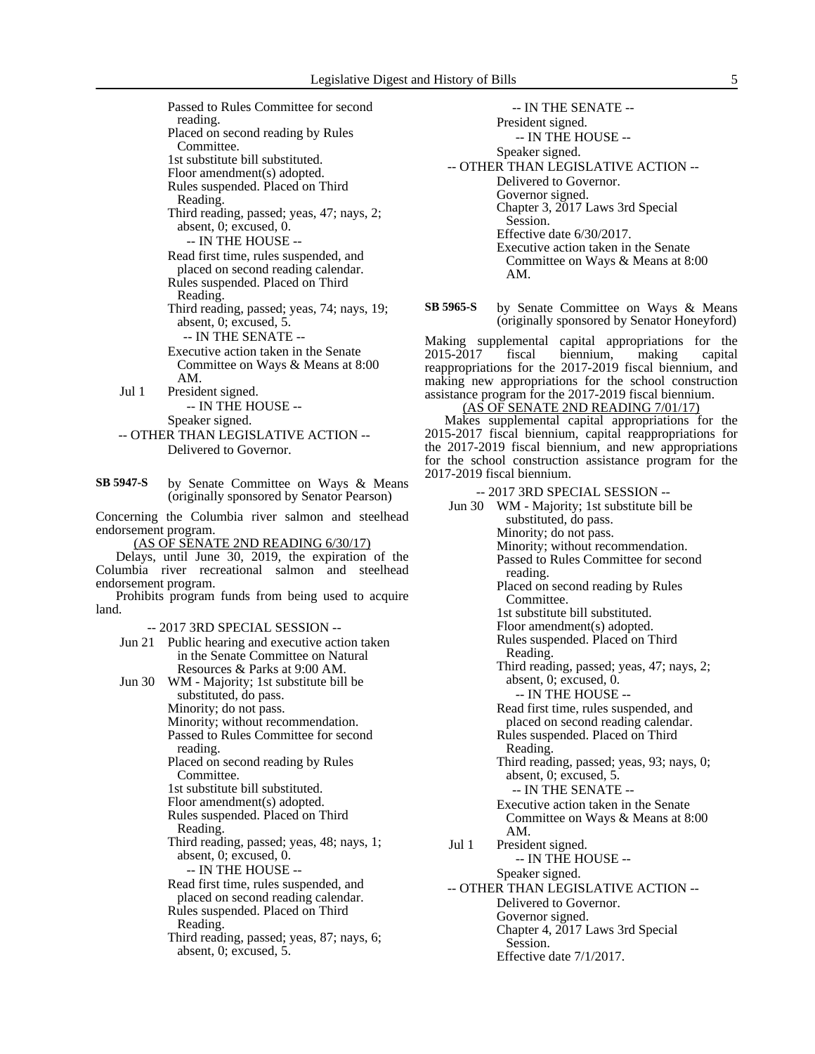Passed to Rules Committee for second reading. Placed on second reading by Rules Committee. 1st substitute bill substituted. Floor amendment(s) adopted. Rules suspended. Placed on Third Reading. Third reading, passed; yeas, 47; nays, 2; absent, 0; excused, 0. -- IN THE HOUSE -- Read first time, rules suspended, and placed on second reading calendar. Rules suspended. Placed on Third Reading. Third reading, passed; yeas, 74; nays, 19; absent, 0; excused, 5. -- IN THE SENATE -- Executive action taken in the Senate Committee on Ways & Means at 8:00 AM. Jul 1 President signed. -- IN THE HOUSE -- Speaker signed. -- OTHER THAN LEGISLATIVE ACTION -- Delivered to Governor. by Senate Committee on Ways & Means (originally sponsored by Senator Pearson) Concerning the Columbia river salmon and steelhead endorsement program. (AS OF SENATE 2ND READING 6/30/17) Delays, until June 30, 2019, the expiration of the Columbia river recreational salmon and steelhead endorsement program. Prohibits program funds from being used to acquire -- 2017 3RD SPECIAL SESSION -- Jun 21 Public hearing and executive action taken in the Senate Committee on Natural Resources & Parks at 9:00 AM. Jun 30 WM - Majority; 1st substitute bill be substituted, do pass. Minority; do not pass. Minority; without recommendation. Passed to Rules Committee for second reading. Placed on second reading by Rules Committee. 1st substitute bill substituted. Floor amendment(s) adopted. Rules suspended. Placed on Third Reading. Third reading, passed; yeas, 48; nays, 1; absent, 0; excused, 0. -- IN THE HOUSE -- Read first time, rules suspended, and placed on second reading calendar. Rules suspended. Placed on Third Reading. **SB 5947-S**

land.

Third reading, passed; yeas, 87; nays, 6; absent, 0; excused, 5.

-- IN THE SENATE -- President signed. -- IN THE HOUSE -- Speaker signed. -- OTHER THAN LEGISLATIVE ACTION -- Delivered to Governor. Governor signed. Chapter 3, 2017 Laws 3rd Special Session. Effective date 6/30/2017. Executive action taken in the Senate Committee on Ways & Means at 8:00 AM.

by Senate Committee on Ways & Means (originally sponsored by Senator Honeyford) **SB 5965-S**

Making supplemental capital appropriations for the 2015-2017 fiscal biennium, making capital reappropriations for the 2017-2019 fiscal biennium, and making new appropriations for the school construction assistance program for the 2017-2019 fiscal biennium.

## (AS OF SENATE 2ND READING 7/01/17)

Makes supplemental capital appropriations for the 2015-2017 fiscal biennium, capital reappropriations for the 2017-2019 fiscal biennium, and new appropriations for the school construction assistance program for the 2017-2019 fiscal biennium.

-- 2017 3RD SPECIAL SESSION --

Jun 30 WM - Majority; 1st substitute bill be substituted, do pass. Minority; do not pass. Minority; without recommendation. Passed to Rules Committee for second reading. Placed on second reading by Rules Committee. 1st substitute bill substituted. Floor amendment(s) adopted. Rules suspended. Placed on Third Reading. Third reading, passed; yeas, 47; nays, 2; absent, 0; excused, 0. -- IN THE HOUSE -- Read first time, rules suspended, and placed on second reading calendar. Rules suspended. Placed on Third Reading. Third reading, passed; yeas, 93; nays, 0; absent, 0; excused, 5. -- IN THE SENATE -- Executive action taken in the Senate Committee on Ways & Means at 8:00 AM. Jul 1 President signed. -- IN THE HOUSE -- Speaker signed. -- OTHER THAN LEGISLATIVE ACTION -- Delivered to Governor. Governor signed. Chapter 4, 2017 Laws 3rd Special Session. Effective date 7/1/2017.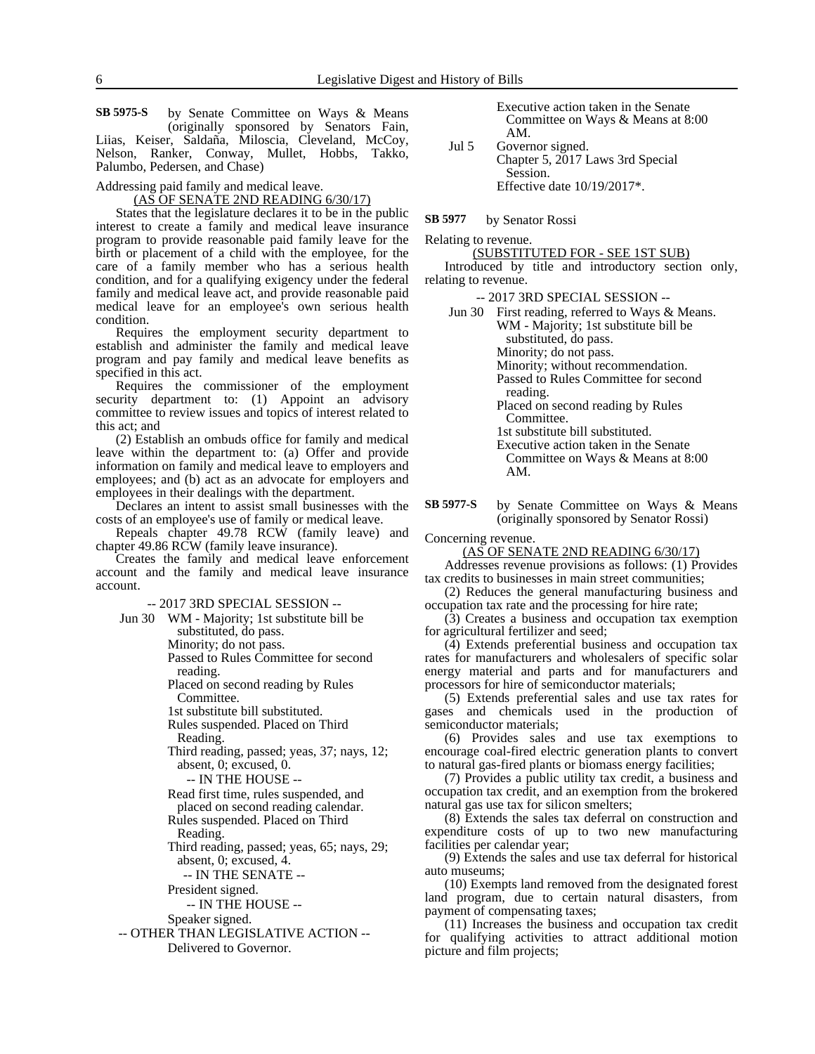**SB 5975-S** by Senate Committee on Ways & Means Executive action taken in the Senate (originally sponsored by Senators Fain, Liias, Keiser, Saldaña, Miloscia, Cleveland, McCoy, Nelson, Ranker, Conway, Mullet, Hobbs, Takko, Palumbo, Pedersen, and Chase)

Addressing paid family and medical leave.

(AS OF SENATE 2ND READING 6/30/17)

States that the legislature declares it to be in the public interest to create a family and medical leave insurance program to provide reasonable paid family leave for the birth or placement of a child with the employee, for the care of a family member who has a serious health condition, and for a qualifying exigency under the federal family and medical leave act, and provide reasonable paid medical leave for an employee's own serious health condition.

Requires the employment security department to establish and administer the family and medical leave program and pay family and medical leave benefits as specified in this act.

Requires the commissioner of the employment security department to: (1) Appoint an advisory committee to review issues and topics of interest related to this act; and

(2) Establish an ombuds office for family and medical leave within the department to: (a) Offer and provide information on family and medical leave to employers and employees; and (b) act as an advocate for employers and employees in their dealings with the department.

Declares an intent to assist small businesses with the costs of an employee's use of family or medical leave.

Repeals chapter 49.78 RCW (family leave) and chapter 49.86 RCW (family leave insurance).

Creates the family and medical leave enforcement account and the family and medical leave insurance account.

-- 2017 3RD SPECIAL SESSION --

Jun 30 WM - Majority; 1st substitute bill be substituted, do pass. Minority; do not pass. Passed to Rules Committee for second reading. Placed on second reading by Rules Committee. 1st substitute bill substituted. Rules suspended. Placed on Third Reading. Third reading, passed; yeas, 37; nays, 12; absent, 0; excused, 0. -- IN THE HOUSE -- Read first time, rules suspended, and placed on second reading calendar. Rules suspended. Placed on Third Reading. Third reading, passed; yeas, 65; nays, 29; absent, 0; excused, 4. -- IN THE SENATE -- President signed. -- IN THE HOUSE -- Speaker signed. -- OTHER THAN LEGISLATIVE ACTION -- Delivered to Governor.

Executive action taken in the Senate<br>Committee on Ways & Means at 8:00 AM.

Jul 5 Governor signed. Chapter 5, 2017 Laws 3rd Special Session. Effective date 10/19/2017\*.

by Senator Rossi **SB 5977**

Relating to revenue.

(SUBSTITUTED FOR - SEE 1ST SUB)

Introduced by title and introductory section only, relating to revenue.

-- 2017 3RD SPECIAL SESSION --

| Jun 30 First reading, referred to Ways & Means.  |
|--------------------------------------------------|
| WM - Majority; 1st substitute bill be            |
| substituted, do pass.                            |
| Minority; do not pass.                           |
| Minority; without recommendation.                |
| Passed to Rules Committee for second<br>reading. |
| Placed on second reading by Rules<br>Committee.  |
| 1st substitute bill substituted.                 |
| Executive action taken in the Senate             |
| Committee on Ways & Means at 8:00                |
| AM.                                              |
|                                                  |

by Senate Committee on Ways & Means (originally sponsored by Senator Rossi) **SB 5977-S**

Concerning revenue.

(AS OF SENATE 2ND READING 6/30/17)

Addresses revenue provisions as follows: (1) Provides tax credits to businesses in main street communities;

(2) Reduces the general manufacturing business and occupation tax rate and the processing for hire rate;

(3) Creates a business and occupation tax exemption for agricultural fertilizer and seed;

(4) Extends preferential business and occupation tax rates for manufacturers and wholesalers of specific solar energy material and parts and for manufacturers and processors for hire of semiconductor materials;

(5) Extends preferential sales and use tax rates for gases and chemicals used in the production of semiconductor materials;

(6) Provides sales and use tax exemptions to encourage coal-fired electric generation plants to convert to natural gas-fired plants or biomass energy facilities;

(7) Provides a public utility tax credit, a business and occupation tax credit, and an exemption from the brokered natural gas use tax for silicon smelters;

(8) Extends the sales tax deferral on construction and expenditure costs of up to two new manufacturing facilities per calendar year;

(9) Extends the sales and use tax deferral for historical auto museums;

(10) Exempts land removed from the designated forest land program, due to certain natural disasters, from payment of compensating taxes;

(11) Increases the business and occupation tax credit for qualifying activities to attract additional motion picture and film projects;